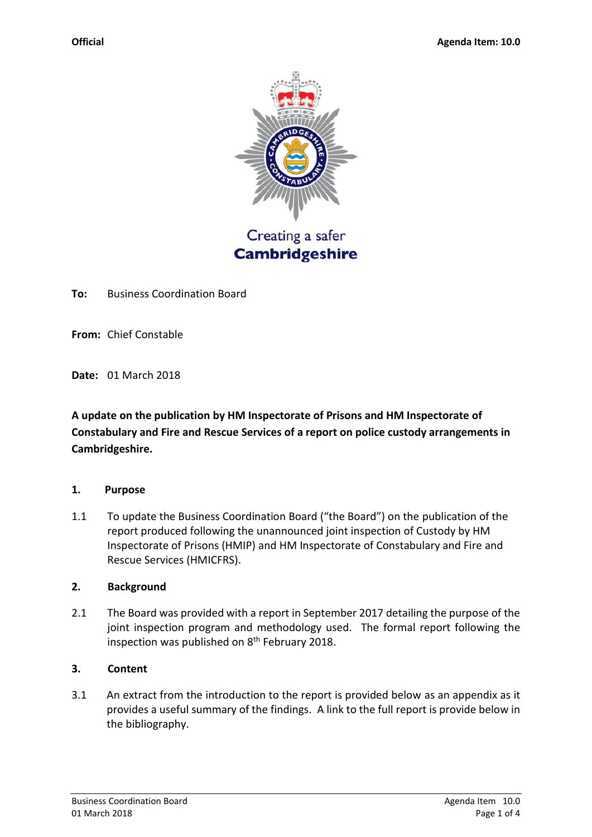

Creating a safer **Cambridgeshire** 

**To:** Business Coordination Board

**From:** Chief Constable

**Date:** 01 March 2018

**A update on the publication by HM Inspectorate of Prisons and HM Inspectorate of Constabulary and Fire and Rescue Services of a report on police custody arrangements in Cambridgeshire.**

#### **1. Purpose**

1.1 To update the Business Coordination Board ("the Board") on the publication of the report produced following the unannounced joint inspection of Custody by HM Inspectorate of Prisons (HMIP) and HM Inspectorate of Constabulary and Fire and Rescue Services (HMICFRS).

### **2. Background**

2.1 The Board was provided with a report in September 2017 detailing the purpose of the joint inspection program and methodology used. The formal report following the inspection was published on 8<sup>th</sup> February 2018.

## **3. Content**

3.1 An extract from the introduction to the report is provided below as an appendix as it provides a useful summary of the findings. A link to the full report is provide below in the bibliography.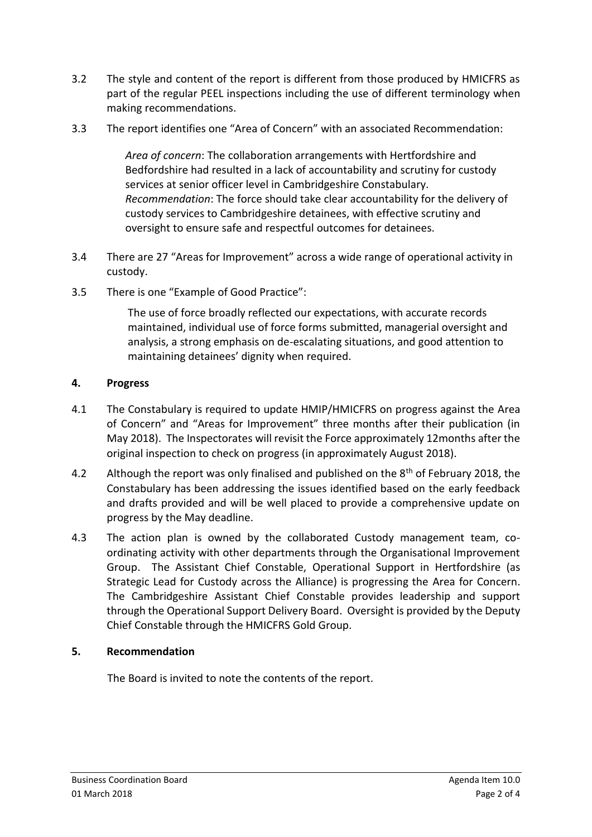- 3.2 The style and content of the report is different from those produced by HMICFRS as part of the regular PEEL inspections including the use of different terminology when making recommendations.
- 3.3 The report identifies one "Area of Concern" with an associated Recommendation:

*Area of concern*: The collaboration arrangements with Hertfordshire and Bedfordshire had resulted in a lack of accountability and scrutiny for custody services at senior officer level in Cambridgeshire Constabulary. *Recommendation*: The force should take clear accountability for the delivery of custody services to Cambridgeshire detainees, with effective scrutiny and oversight to ensure safe and respectful outcomes for detainees.

- 3.4 There are 27 "Areas for Improvement" across a wide range of operational activity in custody.
- 3.5 There is one "Example of Good Practice":

The use of force broadly reflected our expectations, with accurate records maintained, individual use of force forms submitted, managerial oversight and analysis, a strong emphasis on de-escalating situations, and good attention to maintaining detainees' dignity when required.

# **4. Progress**

- 4.1 The Constabulary is required to update HMIP/HMICFRS on progress against the Area of Concern" and "Areas for Improvement" three months after their publication (in May 2018). The Inspectorates will revisit the Force approximately 12months after the original inspection to check on progress (in approximately August 2018).
- 4.2 Although the report was only finalised and published on the 8<sup>th</sup> of February 2018. the Constabulary has been addressing the issues identified based on the early feedback and drafts provided and will be well placed to provide a comprehensive update on progress by the May deadline.
- 4.3 The action plan is owned by the collaborated Custody management team, coordinating activity with other departments through the Organisational Improvement Group. The Assistant Chief Constable, Operational Support in Hertfordshire (as Strategic Lead for Custody across the Alliance) is progressing the Area for Concern. The Cambridgeshire Assistant Chief Constable provides leadership and support through the Operational Support Delivery Board. Oversight is provided by the Deputy Chief Constable through the HMICFRS Gold Group.

# **5. Recommendation**

The Board is invited to note the contents of the report.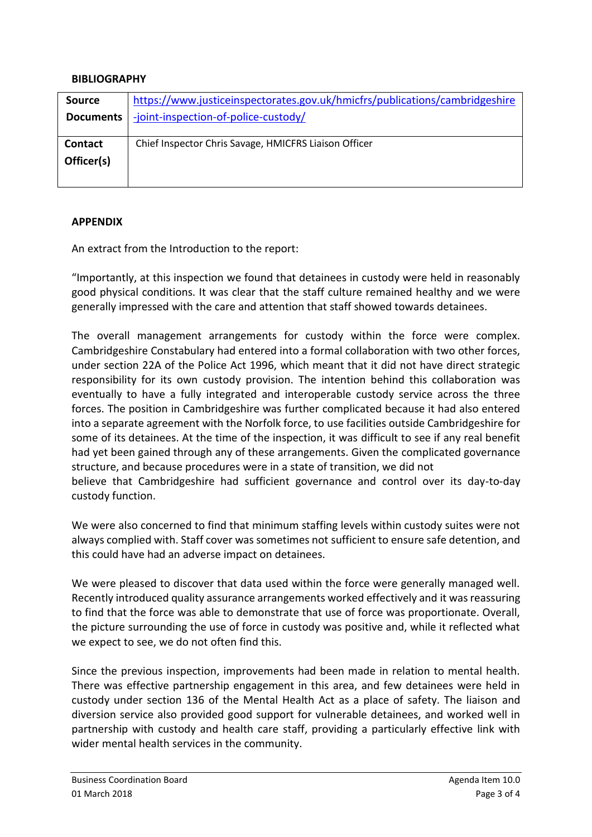### **BIBLIOGRAPHY**

| <b>Source</b>                | https://www.justiceinspectorates.gov.uk/hmicfrs/publications/cambridgeshire |
|------------------------------|-----------------------------------------------------------------------------|
| <b>Documents</b>             | -joint-inspection-of-police-custody/                                        |
| <b>Contact</b><br>Officer(s) | Chief Inspector Chris Savage, HMICFRS Liaison Officer                       |

### **APPENDIX**

An extract from the Introduction to the report:

"Importantly, at this inspection we found that detainees in custody were held in reasonably good physical conditions. It was clear that the staff culture remained healthy and we were generally impressed with the care and attention that staff showed towards detainees.

The overall management arrangements for custody within the force were complex. Cambridgeshire Constabulary had entered into a formal collaboration with two other forces, under section 22A of the Police Act 1996, which meant that it did not have direct strategic responsibility for its own custody provision. The intention behind this collaboration was eventually to have a fully integrated and interoperable custody service across the three forces. The position in Cambridgeshire was further complicated because it had also entered into a separate agreement with the Norfolk force, to use facilities outside Cambridgeshire for some of its detainees. At the time of the inspection, it was difficult to see if any real benefit had yet been gained through any of these arrangements. Given the complicated governance structure, and because procedures were in a state of transition, we did not believe that Cambridgeshire had sufficient governance and control over its day-to-day custody function.

We were also concerned to find that minimum staffing levels within custody suites were not always complied with. Staff cover was sometimes not sufficient to ensure safe detention, and this could have had an adverse impact on detainees.

We were pleased to discover that data used within the force were generally managed well. Recently introduced quality assurance arrangements worked effectively and it was reassuring to find that the force was able to demonstrate that use of force was proportionate. Overall, the picture surrounding the use of force in custody was positive and, while it reflected what we expect to see, we do not often find this.

Since the previous inspection, improvements had been made in relation to mental health. There was effective partnership engagement in this area, and few detainees were held in custody under section 136 of the Mental Health Act as a place of safety. The liaison and diversion service also provided good support for vulnerable detainees, and worked well in partnership with custody and health care staff, providing a particularly effective link with wider mental health services in the community.